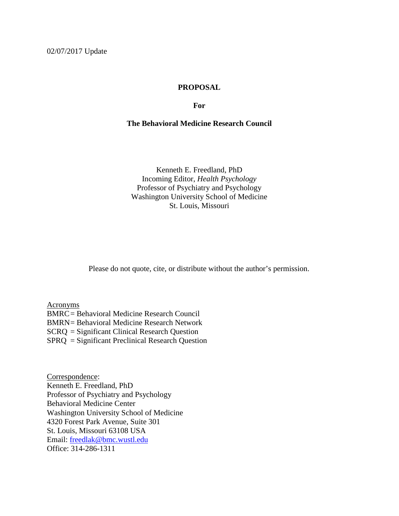## **PROPOSAL**

#### **For**

## **The Behavioral Medicine Research Council**

Kenneth E. Freedland, PhD Incoming Editor, *Health Psychology* Professor of Psychiatry and Psychology Washington University School of Medicine St. Louis, Missouri

Please do not quote, cite, or distribute without the author's permission.

Acronyms BMRC= Behavioral Medicine Research Council BMRN= Behavioral Medicine Research Network SCRQ = Significant Clinical Research Question SPRQ = Significant Preclinical Research Question

Correspondence: Kenneth E. Freedland, PhD Professor of Psychiatry and Psychology Behavioral Medicine Center Washington University School of Medicine 4320 Forest Park Avenue, Suite 301 St. Louis, Missouri 63108 USA Email: freedlak@bmc.wustl.edu Office: 314-286-1311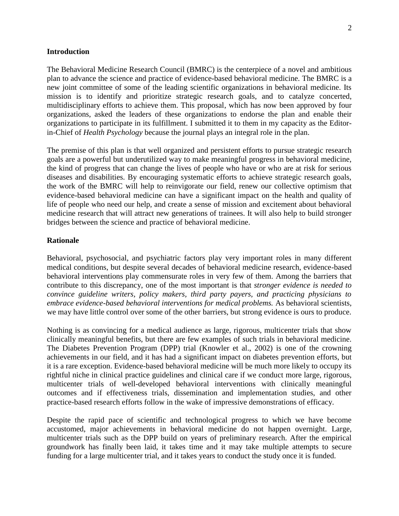#### **Introduction**

The Behavioral Medicine Research Council (BMRC) is the centerpiece of a novel and ambitious plan to advance the science and practice of evidence-based behavioral medicine. The BMRC is a new joint committee of some of the leading scientific organizations in behavioral medicine. Its mission is to identify and prioritize strategic research goals, and to catalyze concerted, multidisciplinary efforts to achieve them. This proposal, which has now been approved by four organizations, asked the leaders of these organizations to endorse the plan and enable their organizations to participate in its fulfillment. I submitted it to them in my capacity as the Editorin-Chief of *Health Psychology* because the journal plays an integral role in the plan.

The premise of this plan is that well organized and persistent efforts to pursue strategic research goals are a powerful but underutilized way to make meaningful progress in behavioral medicine, the kind of progress that can change the lives of people who have or who are at risk for serious diseases and disabilities. By encouraging systematic efforts to achieve strategic research goals, the work of the BMRC will help to reinvigorate our field, renew our collective optimism that evidence-based behavioral medicine can have a significant impact on the health and quality of life of people who need our help, and create a sense of mission and excitement about behavioral medicine research that will attract new generations of trainees. It will also help to build stronger bridges between the science and practice of behavioral medicine.

#### **Rationale**

Behavioral, psychosocial, and psychiatric factors play very important roles in many different medical conditions, but despite several decades of behavioral medicine research, evidence-based behavioral interventions play commensurate roles in very few of them. Among the barriers that contribute to this discrepancy, one of the most important is that *stronger evidence is needed to convince guideline writers, policy makers, third party payers, and practicing physicians to embrace evidence-based behavioral interventions for medical problems.* As behavioral scientists, we may have little control over some of the other barriers, but strong evidence is ours to produce.

Nothing is as convincing for a medical audience as large, rigorous, multicenter trials that show clinically meaningful benefits, but there are few examples of such trials in behavioral medicine. The Diabetes Prevention Program (DPP) trial (Knowler et al., 2002) is one of the crowning achievements in our field, and it has had a significant impact on diabetes prevention efforts, but it is a rare exception. Evidence-based behavioral medicine will be much more likely to occupy its rightful niche in clinical practice guidelines and clinical care if we conduct more large, rigorous, multicenter trials of well-developed behavioral interventions with clinically meaningful outcomes and if effectiveness trials, dissemination and implementation studies, and other practice-based research efforts follow in the wake of impressive demonstrations of efficacy.

Despite the rapid pace of scientific and technological progress to which we have become accustomed, major achievements in behavioral medicine do not happen overnight. Large, multicenter trials such as the DPP build on years of preliminary research. After the empirical groundwork has finally been laid, it takes time and it may take multiple attempts to secure funding for a large multicenter trial, and it takes years to conduct the study once it is funded.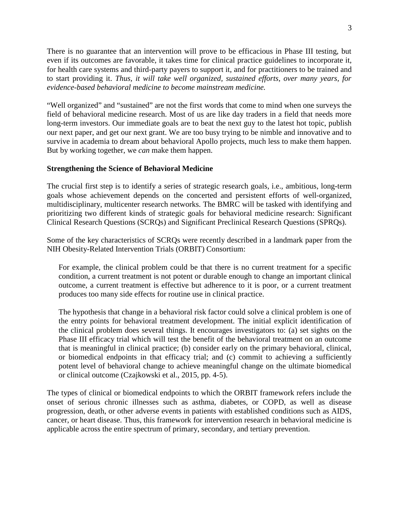There is no guarantee that an intervention will prove to be efficacious in Phase III testing, but even if its outcomes are favorable, it takes time for clinical practice guidelines to incorporate it, for health care systems and third-party payers to support it, and for practitioners to be trained and to start providing it. *Thus, it will take well organized, sustained efforts, over many years, for evidence-based behavioral medicine to become mainstream medicine.*

"Well organized" and "sustained" are not the first words that come to mind when one surveys the field of behavioral medicine research. Most of us are like day traders in a field that needs more long-term investors. Our immediate goals are to beat the next guy to the latest hot topic, publish our next paper, and get our next grant. We are too busy trying to be nimble and innovative and to survive in academia to dream about behavioral Apollo projects, much less to make them happen. But by working together, we *can* make them happen.

## **Strengthening the Science of Behavioral Medicine**

The crucial first step is to identify a series of strategic research goals, i.e., ambitious, long-term goals whose achievement depends on the concerted and persistent efforts of well-organized, multidisciplinary, multicenter research networks. The BMRC will be tasked with identifying and prioritizing two different kinds of strategic goals for behavioral medicine research: Significant Clinical Research Questions (SCRQs) and Significant Preclinical Research Questions (SPRQs).

Some of the key characteristics of SCRQs were recently described in a landmark paper from the NIH Obesity-Related Intervention Trials (ORBIT) Consortium:

For example, the clinical problem could be that there is no current treatment for a specific condition, a current treatment is not potent or durable enough to change an important clinical outcome, a current treatment is effective but adherence to it is poor, or a current treatment produces too many side effects for routine use in clinical practice.

The hypothesis that change in a behavioral risk factor could solve a clinical problem is one of the entry points for behavioral treatment development. The initial explicit identification of the clinical problem does several things. It encourages investigators to: (a) set sights on the Phase III efficacy trial which will test the benefit of the behavioral treatment on an outcome that is meaningful in clinical practice; (b) consider early on the primary behavioral, clinical, or biomedical endpoints in that efficacy trial; and (c) commit to achieving a sufficiently potent level of behavioral change to achieve meaningful change on the ultimate biomedical or clinical outcome (Czajkowski et al., 2015, pp. 4-5).

The types of clinical or biomedical endpoints to which the ORBIT framework refers include the onset of serious chronic illnesses such as asthma, diabetes, or COPD, as well as disease progression, death, or other adverse events in patients with established conditions such as AIDS, cancer, or heart disease. Thus, this framework for intervention research in behavioral medicine is applicable across the entire spectrum of primary, secondary, and tertiary prevention.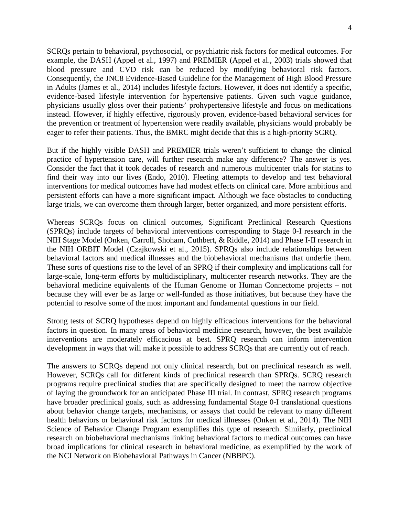SCRQs pertain to behavioral, psychosocial, or psychiatric risk factors for medical outcomes. For example, the DASH (Appel et al., 1997) and PREMIER (Appel et al., 2003) trials showed that blood pressure and CVD risk can be reduced by modifying behavioral risk factors. Consequently, the JNC8 Evidence-Based Guideline for the Management of High Blood Pressure in Adults (James et al., 2014) includes lifestyle factors. However, it does not identify a specific, evidence-based lifestyle intervention for hypertensive patients. Given such vague guidance, physicians usually gloss over their patients' prohypertensive lifestyle and focus on medications instead. However, if highly effective, rigorously proven, evidence-based behavioral services for the prevention or treatment of hypertension were readily available, physicians would probably be eager to refer their patients. Thus, the BMRC might decide that this is a high-priority SCRQ.

But if the highly visible DASH and PREMIER trials weren't sufficient to change the clinical practice of hypertension care, will further research make any difference? The answer is yes. Consider the fact that it took decades of research and numerous multicenter trials for statins to find their way into our lives (Endo, 2010). Fleeting attempts to develop and test behavioral interventions for medical outcomes have had modest effects on clinical care. More ambitious and persistent efforts can have a more significant impact. Although we face obstacles to conducting large trials, we can overcome them through larger, better organized, and more persistent efforts.

Whereas SCRQs focus on clinical outcomes, Significant Preclinical Research Questions (SPRQs) include targets of behavioral interventions corresponding to Stage 0-I research in the NIH Stage Model (Onken, Carroll, Shoham, Cuthbert, & Riddle, 2014) and Phase I-II research in the NIH ORBIT Model (Czajkowski et al., 2015). SPRQs also include relationships between behavioral factors and medical illnesses and the biobehavioral mechanisms that underlie them. These sorts of questions rise to the level of an SPRQ if their complexity and implications call for large-scale, long-term efforts by multidisciplinary, multicenter research networks. They are the behavioral medicine equivalents of the Human Genome or Human Connectome projects – not because they will ever be as large or well-funded as those initiatives, but because they have the potential to resolve some of the most important and fundamental questions in our field.

Strong tests of SCRQ hypotheses depend on highly efficacious interventions for the behavioral factors in question. In many areas of behavioral medicine research, however, the best available interventions are moderately efficacious at best. SPRQ research can inform intervention development in ways that will make it possible to address SCRQs that are currently out of reach.

The answers to SCRQs depend not only clinical research, but on preclinical research as well. However, SCRQs call for different kinds of preclinical research than SPRQs. SCRQ research programs require preclinical studies that are specifically designed to meet the narrow objective of laying the groundwork for an anticipated Phase III trial. In contrast, SPRQ research programs have broader preclinical goals, such as addressing fundamental Stage 0-I translational questions about behavior change targets, mechanisms, or assays that could be relevant to many different health behaviors or behavioral risk factors for medical illnesses (Onken et al., 2014). The NIH Science of Behavior Change Program exemplifies this type of research. Similarly, preclinical research on biobehavioral mechanisms linking behavioral factors to medical outcomes can have broad implications for clinical research in behavioral medicine, as exemplified by the work of the NCI Network on Biobehavioral Pathways in Cancer (NBBPC).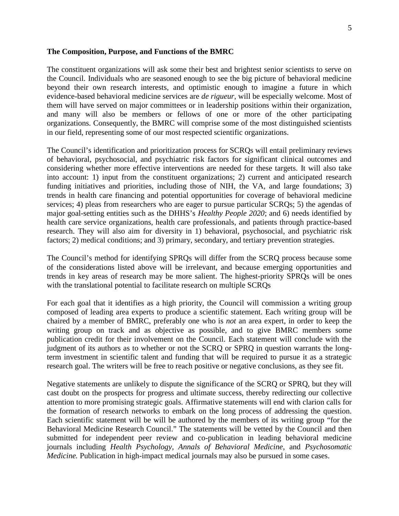#### **The Composition, Purpose, and Functions of the BMRC**

The constituent organizations will ask some their best and brightest senior scientists to serve on the Council. Individuals who are seasoned enough to see the big picture of behavioral medicine beyond their own research interests, and optimistic enough to imagine a future in which evidence-based behavioral medicine services are *de rigueur*, will be especially welcome. Most of them will have served on major committees or in leadership positions within their organization, and many will also be members or fellows of one or more of the other participating organizations. Consequently, the BMRC will comprise some of the most distinguished scientists in our field, representing some of our most respected scientific organizations.

The Council's identification and prioritization process for SCRQs will entail preliminary reviews of behavioral, psychosocial, and psychiatric risk factors for significant clinical outcomes and considering whether more effective interventions are needed for these targets. It will also take into account: 1) input from the constituent organizations; 2) current and anticipated research funding initiatives and priorities, including those of NIH, the VA, and large foundations; 3) trends in health care financing and potential opportunities for coverage of behavioral medicine services; 4) pleas from researchers who are eager to pursue particular SCRQs; 5) the agendas of major goal-setting entities such as the DHHS's *Healthy People 2020*; and 6) needs identified by health care service organizations, health care professionals, and patients through practice-based research. They will also aim for diversity in 1) behavioral, psychosocial, and psychiatric risk factors; 2) medical conditions; and 3) primary, secondary, and tertiary prevention strategies.

The Council's method for identifying SPRQs will differ from the SCRQ process because some of the considerations listed above will be irrelevant, and because emerging opportunities and trends in key areas of research may be more salient. The highest-priority SPRQs will be ones with the translational potential to facilitate research on multiple SCRQs

For each goal that it identifies as a high priority, the Council will commission a writing group composed of leading area experts to produce a scientific statement. Each writing group will be chaired by a member of BMRC, preferably one who is *not* an area expert, in order to keep the writing group on track and as objective as possible, and to give BMRC members some publication credit for their involvement on the Council. Each statement will conclude with the judgment of its authors as to whether or not the SCRQ or SPRQ in question warrants the longterm investment in scientific talent and funding that will be required to pursue it as a strategic research goal. The writers will be free to reach positive or negative conclusions, as they see fit.

Negative statements are unlikely to dispute the significance of the SCRQ or SPRQ, but they will cast doubt on the prospects for progress and ultimate success, thereby redirecting our collective attention to more promising strategic goals. Affirmative statements will end with clarion calls for the formation of research networks to embark on the long process of addressing the question. Each scientific statement will be will be authored by the members of its writing group "for the Behavioral Medicine Research Council." The statements will be vetted by the Council and then submitted for independent peer review and co-publication in leading behavioral medicine journals including *Health Psychology, Annals of Behavioral Medicine,* and *Psychosomatic Medicine.* Publication in high-impact medical journals may also be pursued in some cases.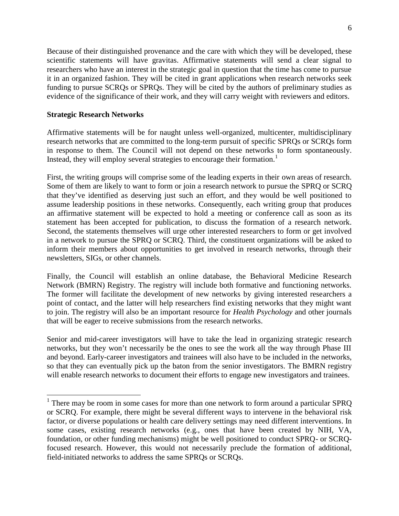Because of their distinguished provenance and the care with which they will be developed, these scientific statements will have gravitas. Affirmative statements will send a clear signal to researchers who have an interest in the strategic goal in question that the time has come to pursue it in an organized fashion. They will be cited in grant applications when research networks seek funding to pursue SCRQs or SPRQs. They will be cited by the authors of preliminary studies as evidence of the significance of their work, and they will carry weight with reviewers and editors.

# **Strategic Research Networks**

Affirmative statements will be for naught unless well-organized, multicenter, multidisciplinary research networks that are committed to the long-term pursuit of specific SPRQs or SCRQs form in response to them. The Council will not depend on these networks to form spontaneously. Instead, they will employ several strategies to encourage their formation.<sup>1</sup>

First, the writing groups will comprise some of the leading experts in their own areas of research. Some of them are likely to want to form or join a research network to pursue the SPRQ or SCRQ that they've identified as deserving just such an effort, and they would be well positioned to assume leadership positions in these networks. Consequently, each writing group that produces an affirmative statement will be expected to hold a meeting or conference call as soon as its statement has been accepted for publication, to discuss the formation of a research network. Second, the statements themselves will urge other interested researchers to form or get involved in a network to pursue the SPRQ or SCRQ. Third, the constituent organizations will be asked to inform their members about opportunities to get involved in research networks, through their newsletters, SIGs, or other channels.

Finally, the Council will establish an online database, the Behavioral Medicine Research Network (BMRN) Registry. The registry will include both formative and functioning networks. The former will facilitate the development of new networks by giving interested researchers a point of contact, and the latter will help researchers find existing networks that they might want to join. The registry will also be an important resource for *Health Psychology* and other journals that will be eager to receive submissions from the research networks.

Senior and mid-career investigators will have to take the lead in organizing strategic research networks, but they won't necessarily be the ones to see the work all the way through Phase III and beyond. Early-career investigators and trainees will also have to be included in the networks, so that they can eventually pick up the baton from the senior investigators. The BMRN registry will enable research networks to document their efforts to engage new investigators and trainees.

<sup>&</sup>lt;sup>1</sup> There may be room in some cases for more than one network to form around a particular SPRQ or SCRQ. For example, there might be several different ways to intervene in the behavioral risk factor, or diverse populations or health care delivery settings may need different interventions. In some cases, existing research networks (e.g., ones that have been created by NIH, VA, foundation, or other funding mechanisms) might be well positioned to conduct SPRQ- or SCRQfocused research. However, this would not necessarily preclude the formation of additional, field-initiated networks to address the same SPRQs or SCRQs.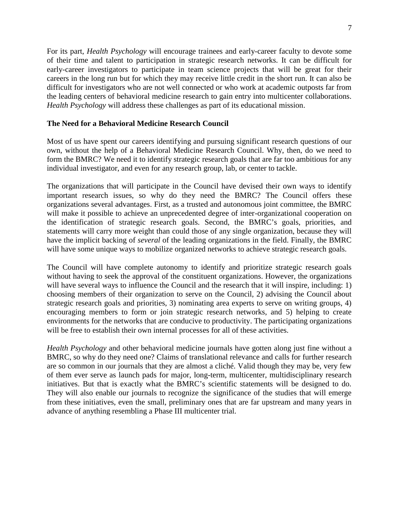For its part, *Health Psychology* will encourage trainees and early-career faculty to devote some of their time and talent to participation in strategic research networks. It can be difficult for early-career investigators to participate in team science projects that will be great for their careers in the long run but for which they may receive little credit in the short run. It can also be difficult for investigators who are not well connected or who work at academic outposts far from the leading centers of behavioral medicine research to gain entry into multicenter collaborations. *Health Psychology* will address these challenges as part of its educational mission.

## **The Need for a Behavioral Medicine Research Council**

Most of us have spent our careers identifying and pursuing significant research questions of our own, without the help of a Behavioral Medicine Research Council. Why, then, do we need to form the BMRC? We need it to identify strategic research goals that are far too ambitious for any individual investigator, and even for any research group, lab, or center to tackle.

The organizations that will participate in the Council have devised their own ways to identify important research issues, so why do they need the BMRC? The Council offers these organizations several advantages. First, as a trusted and autonomous joint committee, the BMRC will make it possible to achieve an unprecedented degree of inter-organizational cooperation on the identification of strategic research goals. Second, the BMRC's goals, priorities, and statements will carry more weight than could those of any single organization, because they will have the implicit backing of *several* of the leading organizations in the field. Finally, the BMRC will have some unique ways to mobilize organized networks to achieve strategic research goals.

The Council will have complete autonomy to identify and prioritize strategic research goals without having to seek the approval of the constituent organizations. However, the organizations will have several ways to influence the Council and the research that it will inspire, including: 1) choosing members of their organization to serve on the Council, 2) advising the Council about strategic research goals and priorities, 3) nominating area experts to serve on writing groups, 4) encouraging members to form or join strategic research networks, and 5) helping to create environments for the networks that are conducive to productivity. The participating organizations will be free to establish their own internal processes for all of these activities.

*Health Psychology* and other behavioral medicine journals have gotten along just fine without a BMRC, so why do they need one? Claims of translational relevance and calls for further research are so common in our journals that they are almost a cliché. Valid though they may be, very few of them ever serve as launch pads for major, long-term, multicenter, multidisciplinary research initiatives. But that is exactly what the BMRC's scientific statements will be designed to do. They will also enable our journals to recognize the significance of the studies that will emerge from these initiatives, even the small, preliminary ones that are far upstream and many years in advance of anything resembling a Phase III multicenter trial.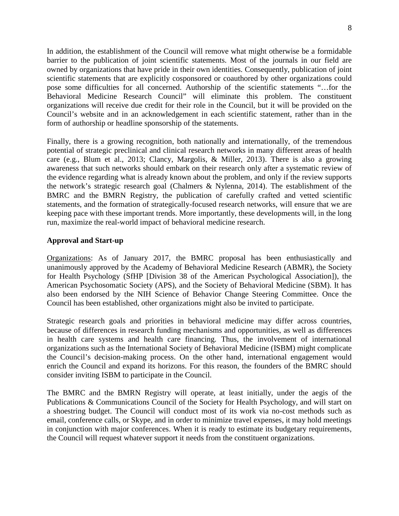In addition, the establishment of the Council will remove what might otherwise be a formidable barrier to the publication of joint scientific statements. Most of the journals in our field are owned by organizations that have pride in their own identities. Consequently, publication of joint scientific statements that are explicitly cosponsored or coauthored by other organizations could pose some difficulties for all concerned. Authorship of the scientific statements "…for the Behavioral Medicine Research Council" will eliminate this problem. The constituent organizations will receive due credit for their role in the Council, but it will be provided on the Council's website and in an acknowledgement in each scientific statement, rather than in the form of authorship or headline sponsorship of the statements.

Finally, there is a growing recognition, both nationally and internationally, of the tremendous potential of strategic preclinical and clinical research networks in many different areas of health care (e.g., Blum et al., 2013; Clancy, Margolis, & Miller, 2013). There is also a growing awareness that such networks should embark on their research only after a systematic review of the evidence regarding what is already known about the problem, and only if the review supports the network's strategic research goal (Chalmers & Nylenna, 2014). The establishment of the BMRC and the BMRN Registry, the publication of carefully crafted and vetted scientific statements, and the formation of strategically-focused research networks, will ensure that we are keeping pace with these important trends. More importantly, these developments will, in the long run, maximize the real-world impact of behavioral medicine research.

## **Approval and Start-up**

Organizations: As of January 2017, the BMRC proposal has been enthusiastically and unanimously approved by the Academy of Behavioral Medicine Research (ABMR), the Society for Health Psychology (SfHP [Division 38 of the American Psychological Association]), the American Psychosomatic Society (APS), and the Society of Behavioral Medicine (SBM). It has also been endorsed by the NIH Science of Behavior Change Steering Committee. Once the Council has been established, other organizations might also be invited to participate.

Strategic research goals and priorities in behavioral medicine may differ across countries, because of differences in research funding mechanisms and opportunities, as well as differences in health care systems and health care financing. Thus, the involvement of international organizations such as the International Society of Behavioral Medicine (ISBM) might complicate the Council's decision-making process. On the other hand, international engagement would enrich the Council and expand its horizons. For this reason, the founders of the BMRC should consider inviting ISBM to participate in the Council.

The BMRC and the BMRN Registry will operate, at least initially, under the aegis of the Publications & Communications Council of the Society for Health Psychology, and will start on a shoestring budget. The Council will conduct most of its work via no-cost methods such as email, conference calls, or Skype, and in order to minimize travel expenses, it may hold meetings in conjunction with major conferences. When it is ready to estimate its budgetary requirements, the Council will request whatever support it needs from the constituent organizations.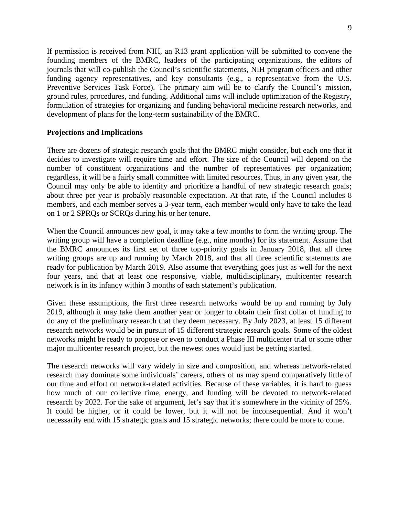If permission is received from NIH, an R13 grant application will be submitted to convene the founding members of the BMRC, leaders of the participating organizations, the editors of journals that will co-publish the Council's scientific statements, NIH program officers and other funding agency representatives, and key consultants (e.g., a representative from the U.S. Preventive Services Task Force). The primary aim will be to clarify the Council's mission, ground rules, procedures, and funding. Additional aims will include optimization of the Registry, formulation of strategies for organizing and funding behavioral medicine research networks, and development of plans for the long-term sustainability of the BMRC.

## **Projections and Implications**

There are dozens of strategic research goals that the BMRC might consider, but each one that it decides to investigate will require time and effort. The size of the Council will depend on the number of constituent organizations and the number of representatives per organization; regardless, it will be a fairly small committee with limited resources. Thus, in any given year, the Council may only be able to identify and prioritize a handful of new strategic research goals; about three per year is probably reasonable expectation. At that rate, if the Council includes 8 members, and each member serves a 3-year term, each member would only have to take the lead on 1 or 2 SPRQs or SCRQs during his or her tenure.

When the Council announces new goal, it may take a few months to form the writing group. The writing group will have a completion deadline (e.g., nine months) for its statement. Assume that the BMRC announces its first set of three top-priority goals in January 2018, that all three writing groups are up and running by March 2018, and that all three scientific statements are ready for publication by March 2019. Also assume that everything goes just as well for the next four years, and that at least one responsive, viable, multidisciplinary, multicenter research network is in its infancy within 3 months of each statement's publication.

Given these assumptions, the first three research networks would be up and running by July 2019, although it may take them another year or longer to obtain their first dollar of funding to do any of the preliminary research that they deem necessary. By July 2023, at least 15 different research networks would be in pursuit of 15 different strategic research goals. Some of the oldest networks might be ready to propose or even to conduct a Phase III multicenter trial or some other major multicenter research project, but the newest ones would just be getting started.

The research networks will vary widely in size and composition, and whereas network-related research may dominate some individuals' careers, others of us may spend comparatively little of our time and effort on network-related activities. Because of these variables, it is hard to guess how much of our collective time, energy, and funding will be devoted to network-related research by 2022. For the sake of argument, let's say that it's somewhere in the vicinity of 25%. It could be higher, or it could be lower, but it will not be inconsequential. And it won't necessarily end with 15 strategic goals and 15 strategic networks; there could be more to come.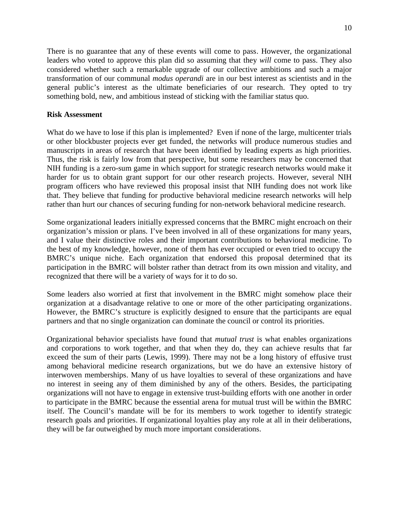There is no guarantee that any of these events will come to pass. However, the organizational leaders who voted to approve this plan did so assuming that they *will* come to pass. They also considered whether such a remarkable upgrade of our collective ambitions and such a major transformation of our communal *modus operandi* are in our best interest as scientists and in the general public's interest as the ultimate beneficiaries of our research. They opted to try something bold, new, and ambitious instead of sticking with the familiar status quo.

### **Risk Assessment**

What do we have to lose if this plan is implemented? Even if none of the large, multicenter trials or other blockbuster projects ever get funded, the networks will produce numerous studies and manuscripts in areas of research that have been identified by leading experts as high priorities. Thus, the risk is fairly low from that perspective, but some researchers may be concerned that NIH funding is a zero-sum game in which support for strategic research networks would make it harder for us to obtain grant support for our other research projects. However, several NIH program officers who have reviewed this proposal insist that NIH funding does not work like that. They believe that funding for productive behavioral medicine research networks will help rather than hurt our chances of securing funding for non-network behavioral medicine research.

Some organizational leaders initially expressed concerns that the BMRC might encroach on their organization's mission or plans. I've been involved in all of these organizations for many years, and I value their distinctive roles and their important contributions to behavioral medicine. To the best of my knowledge, however, none of them has ever occupied or even tried to occupy the BMRC's unique niche. Each organization that endorsed this proposal determined that its participation in the BMRC will bolster rather than detract from its own mission and vitality, and recognized that there will be a variety of ways for it to do so.

Some leaders also worried at first that involvement in the BMRC might somehow place their organization at a disadvantage relative to one or more of the other participating organizations. However, the BMRC's structure is explicitly designed to ensure that the participants are equal partners and that no single organization can dominate the council or control its priorities.

Organizational behavior specialists have found that *mutual trust* is what enables organizations and corporations to work together, and that when they do, they can achieve results that far exceed the sum of their parts (Lewis, 1999). There may not be a long history of effusive trust among behavioral medicine research organizations, but we do have an extensive history of interwoven memberships. Many of us have loyalties to several of these organizations and have no interest in seeing any of them diminished by any of the others. Besides, the participating organizations will not have to engage in extensive trust-building efforts with one another in order to participate in the BMRC because the essential arena for mutual trust will be within the BMRC itself. The Council's mandate will be for its members to work together to identify strategic research goals and priorities. If organizational loyalties play any role at all in their deliberations, they will be far outweighed by much more important considerations.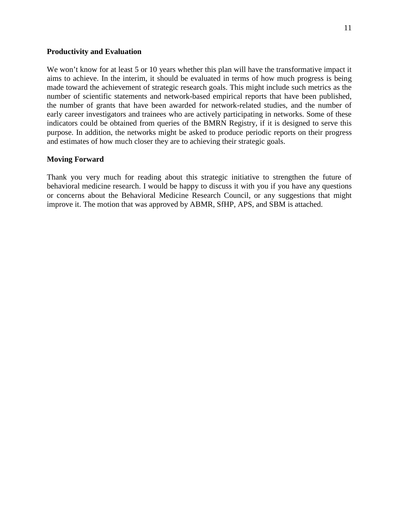#### **Productivity and Evaluation**

We won't know for at least 5 or 10 years whether this plan will have the transformative impact it aims to achieve. In the interim, it should be evaluated in terms of how much progress is being made toward the achievement of strategic research goals. This might include such metrics as the number of scientific statements and network-based empirical reports that have been published, the number of grants that have been awarded for network-related studies, and the number of early career investigators and trainees who are actively participating in networks. Some of these indicators could be obtained from queries of the BMRN Registry, if it is designed to serve this purpose. In addition, the networks might be asked to produce periodic reports on their progress and estimates of how much closer they are to achieving their strategic goals.

#### **Moving Forward**

Thank you very much for reading about this strategic initiative to strengthen the future of behavioral medicine research. I would be happy to discuss it with you if you have any questions or concerns about the Behavioral Medicine Research Council, or any suggestions that might improve it. The motion that was approved by ABMR, SfHP, APS, and SBM is attached.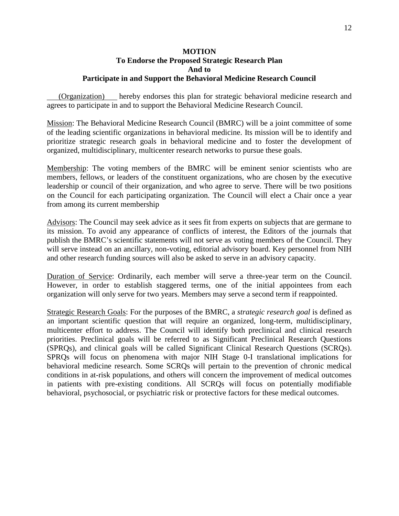# **MOTION To Endorse the Proposed Strategic Research Plan And to Participate in and Support the Behavioral Medicine Research Council**

(Organization) hereby endorses this plan for strategic behavioral medicine research and agrees to participate in and to support the Behavioral Medicine Research Council.

Mission: The Behavioral Medicine Research Council (BMRC) will be a joint committee of some of the leading scientific organizations in behavioral medicine. Its mission will be to identify and prioritize strategic research goals in behavioral medicine and to foster the development of organized, multidisciplinary, multicenter research networks to pursue these goals.

Membership: The voting members of the BMRC will be eminent senior scientists who are members, fellows, or leaders of the constituent organizations, who are chosen by the executive leadership or council of their organization, and who agree to serve. There will be two positions on the Council for each participating organization. The Council will elect a Chair once a year from among its current membership

Advisors: The Council may seek advice as it sees fit from experts on subjects that are germane to its mission. To avoid any appearance of conflicts of interest, the Editors of the journals that publish the BMRC's scientific statements will not serve as voting members of the Council. They will serve instead on an ancillary, non-voting, editorial advisory board. Key personnel from NIH and other research funding sources will also be asked to serve in an advisory capacity.

Duration of Service: Ordinarily, each member will serve a three-year term on the Council. However, in order to establish staggered terms, one of the initial appointees from each organization will only serve for two years. Members may serve a second term if reappointed.

Strategic Research Goals: For the purposes of the BMRC, a *strategic research goal* is defined as an important scientific question that will require an organized, long-term, multidisciplinary, multicenter effort to address. The Council will identify both preclinical and clinical research priorities. Preclinical goals will be referred to as Significant Preclinical Research Questions (SPRQs), and clinical goals will be called Significant Clinical Research Questions (SCRQs). SPRQs will focus on phenomena with major NIH Stage 0-I translational implications for behavioral medicine research. Some SCRQs will pertain to the prevention of chronic medical conditions in at-risk populations, and others will concern the improvement of medical outcomes in patients with pre-existing conditions. All SCRQs will focus on potentially modifiable behavioral, psychosocial, or psychiatric risk or protective factors for these medical outcomes.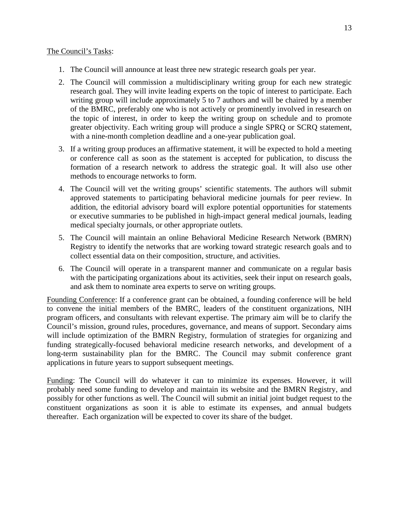### The Council's Tasks:

- 1. The Council will announce at least three new strategic research goals per year.
- 2. The Council will commission a multidisciplinary writing group for each new strategic research goal. They will invite leading experts on the topic of interest to participate. Each writing group will include approximately 5 to 7 authors and will be chaired by a member of the BMRC, preferably one who is not actively or prominently involved in research on the topic of interest, in order to keep the writing group on schedule and to promote greater objectivity. Each writing group will produce a single SPRQ or SCRQ statement, with a nine-month completion deadline and a one-year publication goal.
- 3. If a writing group produces an affirmative statement, it will be expected to hold a meeting or conference call as soon as the statement is accepted for publication, to discuss the formation of a research network to address the strategic goal. It will also use other methods to encourage networks to form.
- 4. The Council will vet the writing groups' scientific statements. The authors will submit approved statements to participating behavioral medicine journals for peer review. In addition, the editorial advisory board will explore potential opportunities for statements or executive summaries to be published in high-impact general medical journals, leading medical specialty journals, or other appropriate outlets.
- 5. The Council will maintain an online Behavioral Medicine Research Network (BMRN) Registry to identify the networks that are working toward strategic research goals and to collect essential data on their composition, structure, and activities.
- 6. The Council will operate in a transparent manner and communicate on a regular basis with the participating organizations about its activities, seek their input on research goals, and ask them to nominate area experts to serve on writing groups.

Founding Conference: If a conference grant can be obtained, a founding conference will be held to convene the initial members of the BMRC, leaders of the constituent organizations, NIH program officers, and consultants with relevant expertise. The primary aim will be to clarify the Council's mission, ground rules, procedures, governance, and means of support. Secondary aims will include optimization of the BMRN Registry, formulation of strategies for organizing and funding strategically-focused behavioral medicine research networks, and development of a long-term sustainability plan for the BMRC. The Council may submit conference grant applications in future years to support subsequent meetings.

Funding: The Council will do whatever it can to minimize its expenses. However, it will probably need some funding to develop and maintain its website and the BMRN Registry, and possibly for other functions as well. The Council will submit an initial joint budget request to the constituent organizations as soon it is able to estimate its expenses, and annual budgets thereafter. Each organization will be expected to cover its share of the budget.